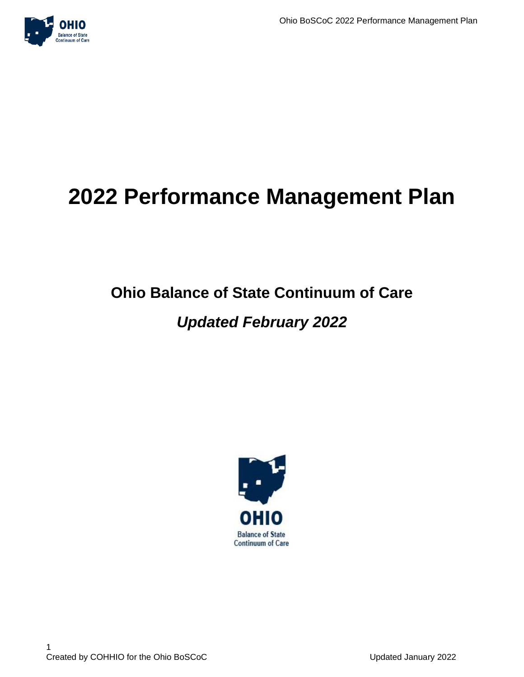# **2022 Performance Management Plan**

# **Ohio Balance of State Continuum of Care**

## *Updated February 2022*

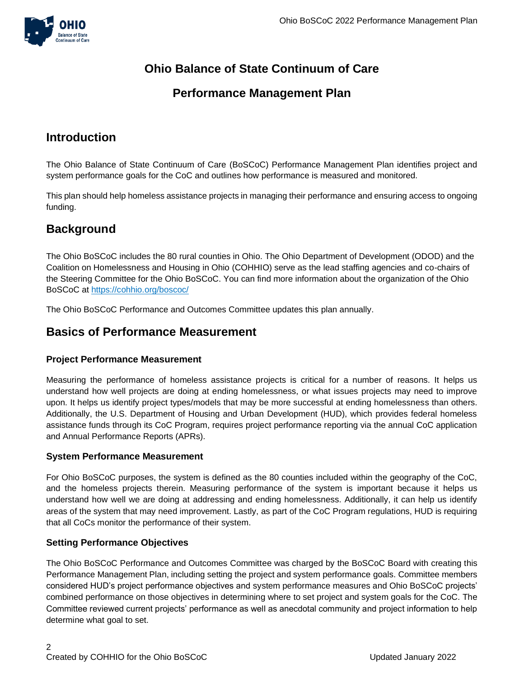

### **Ohio Balance of State Continuum of Care**

### **Performance Management Plan**

### **Introduction**

The Ohio Balance of State Continuum of Care (BoSCoC) Performance Management Plan identifies project and system performance goals for the CoC and outlines how performance is measured and monitored.

This plan should help homeless assistance projects in managing their performance and ensuring access to ongoing funding.

### **Background**

The Ohio BoSCoC includes the 80 rural counties in Ohio. The Ohio Department of Development (ODOD) and the Coalition on Homelessness and Housing in Ohio (COHHIO) serve as the lead staffing agencies and co-chairs of the Steering Committee for the Ohio BoSCoC. You can find more information about the organization of the Ohio BoSCoC at<https://cohhio.org/boscoc/>

The Ohio BoSCoC Performance and Outcomes Committee updates this plan annually.

### **Basics of Performance Measurement**

### **Project Performance Measurement**

Measuring the performance of homeless assistance projects is critical for a number of reasons. It helps us understand how well projects are doing at ending homelessness, or what issues projects may need to improve upon. It helps us identify project types/models that may be more successful at ending homelessness than others. Additionally, the U.S. Department of Housing and Urban Development (HUD), which provides federal homeless assistance funds through its CoC Program, requires project performance reporting via the annual CoC application and Annual Performance Reports (APRs).

### **System Performance Measurement**

For Ohio BoSCoC purposes, the system is defined as the 80 counties included within the geography of the CoC, and the homeless projects therein. Measuring performance of the system is important because it helps us understand how well we are doing at addressing and ending homelessness. Additionally, it can help us identify areas of the system that may need improvement. Lastly, as part of the CoC Program regulations, HUD is requiring that all CoCs monitor the performance of their system.

### **Setting Performance Objectives**

The Ohio BoSCoC Performance and Outcomes Committee was charged by the BoSCoC Board with creating this Performance Management Plan, including setting the project and system performance goals. Committee members considered HUD's project performance objectives and system performance measures and Ohio BoSCoC projects' combined performance on those objectives in determining where to set project and system goals for the CoC. The Committee reviewed current projects' performance as well as anecdotal community and project information to help determine what goal to set.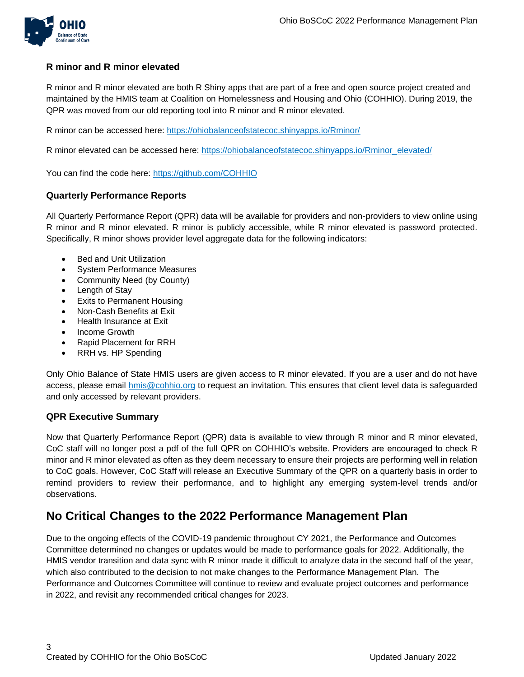

### **R minor and R minor elevated**

R minor and R minor elevated are both R Shiny apps that are part of a free and open source project created and maintained by the HMIS team at Coalition on Homelessness and Housing and Ohio (COHHIO). During 2019, the QPR was moved from our old reporting tool into R minor and R minor elevated.

R minor can be accessed here: <https://ohiobalanceofstatecoc.shinyapps.io/Rminor/>

R minor elevated can be accessed here: [https://ohiobalanceofstatecoc.shinyapps.io/Rminor\\_elevated/](https://ohiobalanceofstatecoc.shinyapps.io/Rminor_elevated/)

You can find the code here:<https://github.com/COHHIO>

### **Quarterly Performance Reports**

All Quarterly Performance Report (QPR) data will be available for providers and non-providers to view online using R minor and R minor elevated. R minor is publicly accessible, while R minor elevated is password protected. Specifically, R minor shows provider level aggregate data for the following indicators:

- Bed and Unit Utilization
- **System Performance Measures**
- Community Need (by County)
- Length of Stay
- Exits to Permanent Housing
- Non-Cash Benefits at Exit
- Health Insurance at Exit
- Income Growth
- Rapid Placement for RRH
- RRH vs. HP Spending

Only Ohio Balance of State HMIS users are given access to R minor elevated. If you are a user and do not have access, please email **hmis@cohhio.org** to request an invitation. This ensures that client level data is safeguarded and only accessed by relevant providers.

#### **QPR Executive Summary**

Now that Quarterly Performance Report (QPR) data is available to view through R minor and R minor elevated, CoC staff will no longer post a pdf of the full QPR on COHHIO's website. Providers are encouraged to check R minor and R minor elevated as often as they deem necessary to ensure their projects are performing well in relation to CoC goals. However, CoC Staff will release an Executive Summary of the QPR on a quarterly basis in order to remind providers to review their performance, and to highlight any emerging system-level trends and/or observations.

### **No Critical Changes to the 2022 Performance Management Plan**

Due to the ongoing effects of the COVID-19 pandemic throughout CY 2021, the Performance and Outcomes Committee determined no changes or updates would be made to performance goals for 2022. Additionally, the HMIS vendor transition and data sync with R minor made it difficult to analyze data in the second half of the year, which also contributed to the decision to not make changes to the Performance Management Plan. The Performance and Outcomes Committee will continue to review and evaluate project outcomes and performance in 2022, and revisit any recommended critical changes for 2023.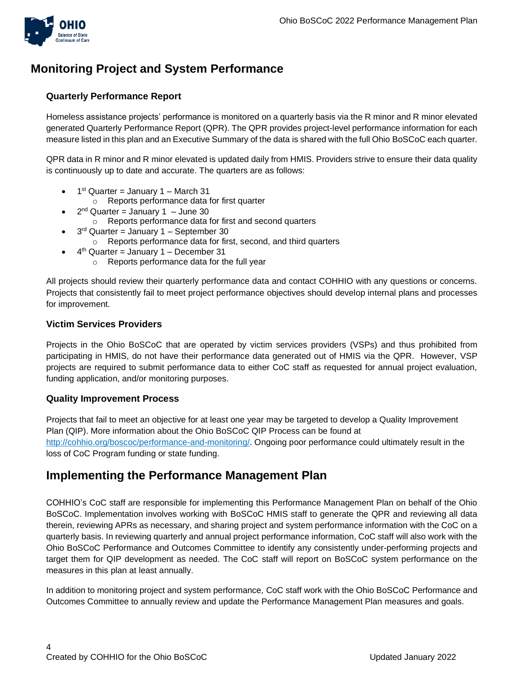

### **Monitoring Project and System Performance**

### **Quarterly Performance Report**

Homeless assistance projects' performance is monitored on a quarterly basis via the R minor and R minor elevated generated Quarterly Performance Report (QPR). The QPR provides project-level performance information for each measure listed in this plan and an Executive Summary of the data is shared with the full Ohio BoSCoC each quarter.

QPR data in R minor and R minor elevated is updated daily from HMIS. Providers strive to ensure their data quality is continuously up to date and accurate. The quarters are as follows:

- $\bullet$  1<sup>st</sup> Quarter = January 1 March 31
	- o Reports performance data for first quarter
- $\bullet$   $2^{nd}$  Quarter = January 1 June 30
	- o Reports performance data for first and second quarters
- $\bullet$  3<sup>rd</sup> Quarter = January 1 September 30
	- o Reports performance data for first, second, and third quarters
- $\bullet$  4<sup>th</sup> Quarter = January 1 December 31
	- o Reports performance data for the full year

All projects should review their quarterly performance data and contact COHHIO with any questions or concerns. Projects that consistently fail to meet project performance objectives should develop internal plans and processes for improvement.

#### **Victim Services Providers**

Projects in the Ohio BoSCoC that are operated by victim services providers (VSPs) and thus prohibited from participating in HMIS, do not have their performance data generated out of HMIS via the QPR. However, VSP projects are required to submit performance data to either CoC staff as requested for annual project evaluation, funding application, and/or monitoring purposes.

### **Quality Improvement Process**

Projects that fail to meet an objective for at least one year may be targeted to develop a Quality Improvement Plan (QIP). More information about the Ohio BoSCoC QIP Process can be found at [http://cohhio.org/boscoc/performance-and-monitoring/.](http://cohhio.org/boscoc/performance-and-monitoring/) Ongoing poor performance could ultimately result in the loss of CoC Program funding or state funding.

### **Implementing the Performance Management Plan**

COHHIO's CoC staff are responsible for implementing this Performance Management Plan on behalf of the Ohio BoSCoC. Implementation involves working with BoSCoC HMIS staff to generate the QPR and reviewing all data therein, reviewing APRs as necessary, and sharing project and system performance information with the CoC on a quarterly basis. In reviewing quarterly and annual project performance information, CoC staff will also work with the Ohio BoSCoC Performance and Outcomes Committee to identify any consistently under-performing projects and target them for QIP development as needed. The CoC staff will report on BoSCoC system performance on the measures in this plan at least annually.

In addition to monitoring project and system performance, CoC staff work with the Ohio BoSCoC Performance and Outcomes Committee to annually review and update the Performance Management Plan measures and goals.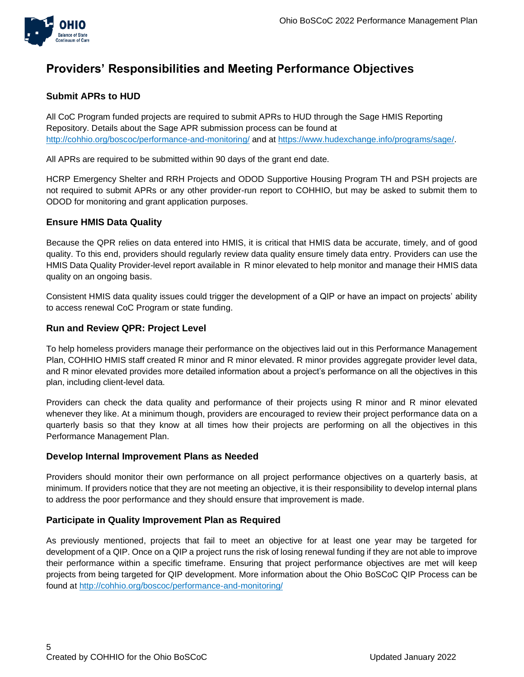

### **Providers' Responsibilities and Meeting Performance Objectives**

### **Submit APRs to HUD**

All CoC Program funded projects are required to submit APRs to HUD through the Sage HMIS Reporting Repository. Details about the Sage APR submission process can be found at <http://cohhio.org/boscoc/performance-and-monitoring/> and at [https://www.hudexchange.info/programs/sage/.](https://www.hudexchange.info/programs/sage/)

All APRs are required to be submitted within 90 days of the grant end date.

HCRP Emergency Shelter and RRH Projects and ODOD Supportive Housing Program TH and PSH projects are not required to submit APRs or any other provider-run report to COHHIO, but may be asked to submit them to ODOD for monitoring and grant application purposes.

### **Ensure HMIS Data Quality**

Because the QPR relies on data entered into HMIS, it is critical that HMIS data be accurate, timely, and of good quality. To this end, providers should regularly review data quality ensure timely data entry. Providers can use the HMIS Data Quality Provider-level report available in R minor elevated to help monitor and manage their HMIS data quality on an ongoing basis.

Consistent HMIS data quality issues could trigger the development of a QIP or have an impact on projects' ability to access renewal CoC Program or state funding.

### **Run and Review QPR: Project Level**

To help homeless providers manage their performance on the objectives laid out in this Performance Management Plan, COHHIO HMIS staff created R minor and R minor elevated. R minor provides aggregate provider level data, and R minor elevated provides more detailed information about a project's performance on all the objectives in this plan, including client-level data.

Providers can check the data quality and performance of their projects using R minor and R minor elevated whenever they like. At a minimum though, providers are encouraged to review their project performance data on a quarterly basis so that they know at all times how their projects are performing on all the objectives in this Performance Management Plan.

### **Develop Internal Improvement Plans as Needed**

Providers should monitor their own performance on all project performance objectives on a quarterly basis, at minimum. If providers notice that they are not meeting an objective, it is their responsibility to develop internal plans to address the poor performance and they should ensure that improvement is made.

### **Participate in Quality Improvement Plan as Required**

As previously mentioned, projects that fail to meet an objective for at least one year may be targeted for development of a QIP. Once on a QIP a project runs the risk of losing renewal funding if they are not able to improve their performance within a specific timeframe. Ensuring that project performance objectives are met will keep projects from being targeted for QIP development. More information about the Ohio BoSCoC QIP Process can be found at<http://cohhio.org/boscoc/performance-and-monitoring/>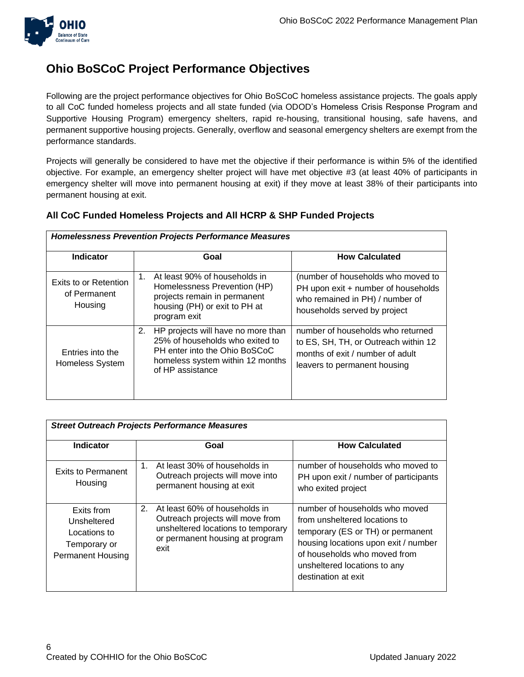

### **Ohio BoSCoC Project Performance Objectives**

Following are the project performance objectives for Ohio BoSCoC homeless assistance projects. The goals apply to all CoC funded homeless projects and all state funded (via ODOD's Homeless Crisis Response Program and Supportive Housing Program) emergency shelters, rapid re-housing, transitional housing, safe havens, and permanent supportive housing projects. Generally, overflow and seasonal emergency shelters are exempt from the performance standards.

Projects will generally be considered to have met the objective if their performance is within 5% of the identified objective. For example, an emergency shelter project will have met objective #3 (at least 40% of participants in emergency shelter will move into permanent housing at exit) if they move at least 38% of their participants into permanent housing at exit.

### **All CoC Funded Homeless Projects and All HCRP & SHP Funded Projects**

| <b>Homelessness Prevention Projects Performance Measures</b> |                                                                                                                                                                      |                                                                                                                                               |  |  |
|--------------------------------------------------------------|----------------------------------------------------------------------------------------------------------------------------------------------------------------------|-----------------------------------------------------------------------------------------------------------------------------------------------|--|--|
| <b>Indicator</b>                                             | Goal                                                                                                                                                                 | <b>How Calculated</b>                                                                                                                         |  |  |
| Exits to or Retention<br>of Permanent<br>Housing             | At least 90% of households in<br>1.<br>Homelessness Prevention (HP)<br>projects remain in permanent<br>housing (PH) or exit to PH at<br>program exit                 | (number of households who moved to<br>PH upon exit + number of households<br>who remained in PH) / number of<br>households served by project  |  |  |
| Entries into the<br>Homeless System                          | 2.<br>HP projects will have no more than<br>25% of households who exited to<br>PH enter into the Ohio BoSCoC<br>homeless system within 12 months<br>of HP assistance | number of households who returned<br>to ES, SH, TH, or Outreach within 12<br>months of exit / number of adult<br>leavers to permanent housing |  |  |

| <b>Street Outreach Projects Performance Measures</b>                                  |                                                                                                                                                          |                                                                                                                                                                                                                                     |  |
|---------------------------------------------------------------------------------------|----------------------------------------------------------------------------------------------------------------------------------------------------------|-------------------------------------------------------------------------------------------------------------------------------------------------------------------------------------------------------------------------------------|--|
| <b>Indicator</b>                                                                      | Goal                                                                                                                                                     | <b>How Calculated</b>                                                                                                                                                                                                               |  |
| <b>Exits to Permanent</b><br>Housing                                                  | At least 30% of households in<br>1.<br>Outreach projects will move into<br>permanent housing at exit                                                     | number of households who moved to<br>PH upon exit / number of participants<br>who exited project                                                                                                                                    |  |
| Exits from<br>Unsheltered<br>Locations to<br>Temporary or<br><b>Permanent Housing</b> | At least 60% of households in<br>2.<br>Outreach projects will move from<br>unsheltered locations to temporary<br>or permanent housing at program<br>exit | number of households who moved<br>from unsheltered locations to<br>temporary (ES or TH) or permanent<br>housing locations upon exit / number<br>of households who moved from<br>unsheltered locations to any<br>destination at exit |  |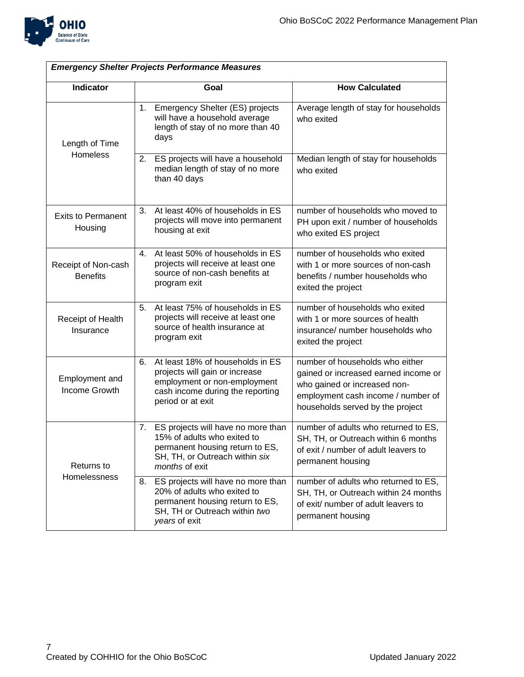

| <b>Emergency Shelter Projects Performance Measures</b> |    |                                                                                                                                                             |                                                                                                                                                                                   |
|--------------------------------------------------------|----|-------------------------------------------------------------------------------------------------------------------------------------------------------------|-----------------------------------------------------------------------------------------------------------------------------------------------------------------------------------|
| Indicator                                              |    | Goal                                                                                                                                                        | <b>How Calculated</b>                                                                                                                                                             |
| Length of Time<br>Homeless                             | 1. | Emergency Shelter (ES) projects<br>will have a household average<br>length of stay of no more than 40<br>days                                               | Average length of stay for households<br>who exited                                                                                                                               |
|                                                        | 2. | ES projects will have a household<br>median length of stay of no more<br>than 40 days                                                                       | Median length of stay for households<br>who exited                                                                                                                                |
| <b>Exits to Permanent</b><br>Housing                   | 3. | At least 40% of households in ES<br>projects will move into permanent<br>housing at exit                                                                    | number of households who moved to<br>PH upon exit / number of households<br>who exited ES project                                                                                 |
| Receipt of Non-cash<br><b>Benefits</b>                 | 4. | At least 50% of households in ES<br>projects will receive at least one<br>source of non-cash benefits at<br>program exit                                    | number of households who exited<br>with 1 or more sources of non-cash<br>benefits / number households who<br>exited the project                                                   |
| Receipt of Health<br>Insurance                         | 5. | At least 75% of households in ES<br>projects will receive at least one<br>source of health insurance at<br>program exit                                     | number of households who exited<br>with 1 or more sources of health<br>insurance/ number households who<br>exited the project                                                     |
| Employment and<br>Income Growth                        | 6. | At least 18% of households in ES<br>projects will gain or increase<br>employment or non-employment<br>cash income during the reporting<br>period or at exit | number of households who either<br>gained or increased earned income or<br>who gained or increased non-<br>employment cash income / number of<br>households served by the project |
| Returns to<br>Homelessness                             | 7. | ES projects will have no more than<br>15% of adults who exited to<br>permanent housing return to ES,<br>SH, TH, or Outreach within six<br>months of exit    | number of adults who returned to ES,<br>SH, TH, or Outreach within 6 months<br>of exit / number of adult leavers to<br>permanent housing                                          |
|                                                        | 8. | ES projects will have no more than<br>20% of adults who exited to<br>permanent housing return to ES,<br>SH, TH or Outreach within two<br>years of exit      | number of adults who returned to ES,<br>SH, TH, or Outreach within 24 months<br>of exit/ number of adult leavers to<br>permanent housing                                          |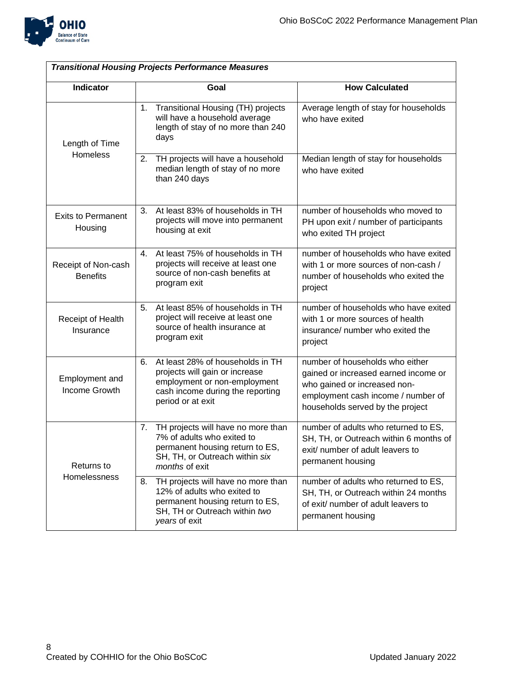

| <b>Transitional Housing Projects Performance Measures</b> |                                                                                                                                                                   |                                                                                                                                                                                   |  |
|-----------------------------------------------------------|-------------------------------------------------------------------------------------------------------------------------------------------------------------------|-----------------------------------------------------------------------------------------------------------------------------------------------------------------------------------|--|
| Indicator                                                 | Goal                                                                                                                                                              | <b>How Calculated</b>                                                                                                                                                             |  |
| Length of Time<br>Homeless                                | Transitional Housing (TH) projects<br>1.<br>will have a household average<br>length of stay of no more than 240<br>days                                           | Average length of stay for households<br>who have exited                                                                                                                          |  |
|                                                           | TH projects will have a household<br>2.<br>median length of stay of no more<br>than 240 days                                                                      | Median length of stay for households<br>who have exited                                                                                                                           |  |
| <b>Exits to Permanent</b><br>Housing                      | At least 83% of households in TH<br>3.<br>projects will move into permanent<br>housing at exit                                                                    | number of households who moved to<br>PH upon exit / number of participants<br>who exited TH project                                                                               |  |
| Receipt of Non-cash<br><b>Benefits</b>                    | At least 75% of households in TH<br>4.<br>projects will receive at least one<br>source of non-cash benefits at<br>program exit                                    | number of households who have exited<br>with 1 or more sources of non-cash /<br>number of households who exited the<br>project                                                    |  |
| Receipt of Health<br>Insurance                            | At least 85% of households in TH<br>5.<br>project will receive at least one<br>source of health insurance at<br>program exit                                      | number of households who have exited<br>with 1 or more sources of health<br>insurance/ number who exited the<br>project                                                           |  |
| Employment and<br>Income Growth                           | At least 28% of households in TH<br>6.<br>projects will gain or increase<br>employment or non-employment<br>cash income during the reporting<br>period or at exit | number of households who either<br>gained or increased earned income or<br>who gained or increased non-<br>employment cash income / number of<br>households served by the project |  |
| Returns to<br>Homelessness                                | TH projects will have no more than<br>7.<br>7% of adults who exited to<br>permanent housing return to ES,<br>SH, TH, or Outreach within six<br>months of exit     | number of adults who returned to ES,<br>SH, TH, or Outreach within 6 months of<br>exit/ number of adult leavers to<br>permanent housing                                           |  |
|                                                           | TH projects will have no more than<br>8.<br>12% of adults who exited to<br>permanent housing return to ES,<br>SH, TH or Outreach within two<br>years of exit      | number of adults who returned to ES,<br>SH, TH, or Outreach within 24 months<br>of exit/ number of adult leavers to<br>permanent housing                                          |  |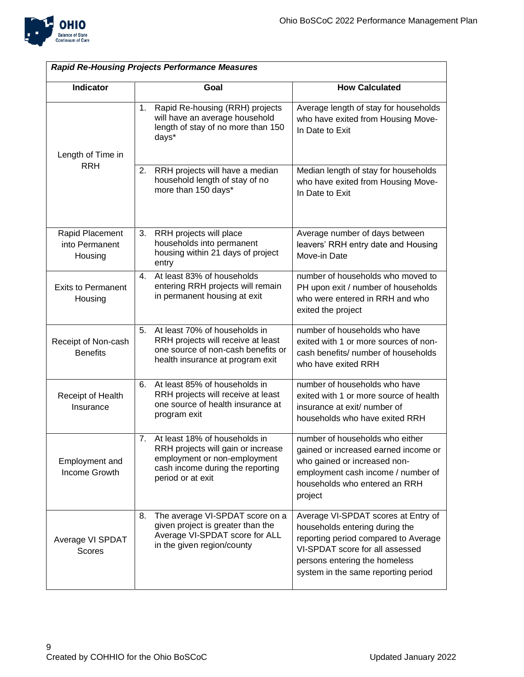

| <b>Rapid Re-Housing Projects Performance Measures</b> |                                                                                                                                                                    |                                                                                                                                                                                                                          |  |
|-------------------------------------------------------|--------------------------------------------------------------------------------------------------------------------------------------------------------------------|--------------------------------------------------------------------------------------------------------------------------------------------------------------------------------------------------------------------------|--|
| <b>Indicator</b>                                      | Goal                                                                                                                                                               | <b>How Calculated</b>                                                                                                                                                                                                    |  |
| Length of Time in                                     | Rapid Re-housing (RRH) projects<br>1.<br>will have an average household<br>length of stay of no more than 150<br>days*                                             | Average length of stay for households<br>who have exited from Housing Move-<br>In Date to Exit                                                                                                                           |  |
| <b>RRH</b>                                            | 2.<br>RRH projects will have a median<br>household length of stay of no<br>more than 150 days*                                                                     | Median length of stay for households<br>who have exited from Housing Move-<br>In Date to Exit                                                                                                                            |  |
| Rapid Placement<br>into Permanent<br>Housing          | RRH projects will place<br>3.<br>households into permanent<br>housing within 21 days of project<br>entry                                                           | Average number of days between<br>leavers' RRH entry date and Housing<br>Move-in Date                                                                                                                                    |  |
| <b>Exits to Permanent</b><br>Housing                  | At least 83% of households<br>4.<br>entering RRH projects will remain<br>in permanent housing at exit                                                              | number of households who moved to<br>PH upon exit / number of households<br>who were entered in RRH and who<br>exited the project                                                                                        |  |
| Receipt of Non-cash<br><b>Benefits</b>                | At least 70% of households in<br>5.<br>RRH projects will receive at least<br>one source of non-cash benefits or<br>health insurance at program exit                | number of households who have<br>exited with 1 or more sources of non-<br>cash benefits/ number of households<br>who have exited RRH                                                                                     |  |
| Receipt of Health<br>Insurance                        | At least 85% of households in<br>6.<br>RRH projects will receive at least<br>one source of health insurance at<br>program exit                                     | number of households who have<br>exited with 1 or more source of health<br>insurance at exit/ number of<br>households who have exited RRH                                                                                |  |
| Employment and<br>Income Growth                       | At least 18% of households in<br>7.<br>RRH projects will gain or increase<br>employment or non-employment<br>cash income during the reporting<br>period or at exit | number of households who either<br>gained or increased earned income or<br>who gained or increased non-<br>employment cash income / number of<br>households who entered an RRH<br>project                                |  |
| Average VI SPDAT<br><b>Scores</b>                     | The average VI-SPDAT score on a<br>8.<br>given project is greater than the<br>Average VI-SPDAT score for ALL<br>in the given region/county                         | Average VI-SPDAT scores at Entry of<br>households entering during the<br>reporting period compared to Average<br>VI-SPDAT score for all assessed<br>persons entering the homeless<br>system in the same reporting period |  |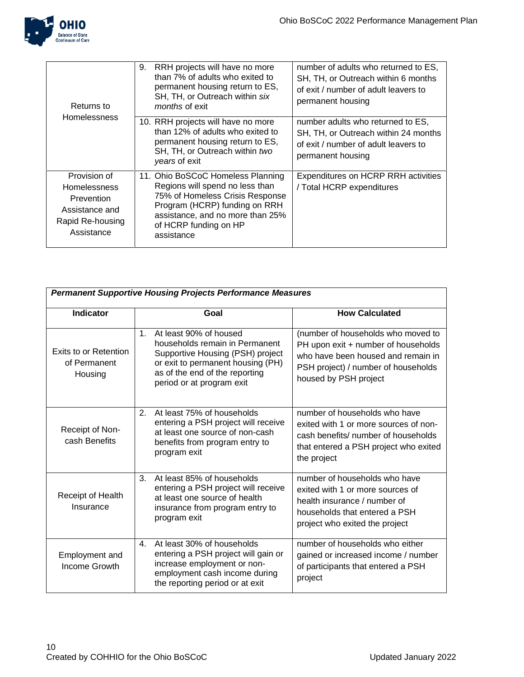

| Returns to<br><b>Homelessness</b>                                                                     | 9.<br>RRH projects will have no more<br>than 7% of adults who exited to<br>permanent housing return to ES,<br>SH, TH, or Outreach within six<br>months of exit                                                      | number of adults who returned to ES,<br>SH, TH, or Outreach within 6 months<br>of exit / number of adult leavers to<br>permanent housing |
|-------------------------------------------------------------------------------------------------------|---------------------------------------------------------------------------------------------------------------------------------------------------------------------------------------------------------------------|------------------------------------------------------------------------------------------------------------------------------------------|
|                                                                                                       | 10. RRH projects will have no more<br>than 12% of adults who exited to<br>permanent housing return to ES,<br>SH, TH, or Outreach within two<br>years of exit                                                        | number adults who returned to ES,<br>SH, TH, or Outreach within 24 months<br>of exit / number of adult leavers to<br>permanent housing   |
| Provision of<br><b>Homelessness</b><br>Prevention<br>Assistance and<br>Rapid Re-housing<br>Assistance | 11. Ohio BoSCoC Homeless Planning<br>Regions will spend no less than<br>75% of Homeless Crisis Response<br>Program (HCRP) funding on RRH<br>assistance, and no more than 25%<br>of HCRP funding on HP<br>assistance | Expenditures on HCRP RRH activities<br>/ Total HCRP expenditures                                                                         |

| <b>Permanent Supportive Housing Projects Performance Measures</b> |                                                                                                                                                                                                                    |                                                                                                                                                                                 |  |
|-------------------------------------------------------------------|--------------------------------------------------------------------------------------------------------------------------------------------------------------------------------------------------------------------|---------------------------------------------------------------------------------------------------------------------------------------------------------------------------------|--|
|                                                                   |                                                                                                                                                                                                                    |                                                                                                                                                                                 |  |
| <b>Indicator</b>                                                  | Goal                                                                                                                                                                                                               | <b>How Calculated</b>                                                                                                                                                           |  |
| Exits to or Retention<br>of Permanent<br>Housing                  | At least 90% of housed<br>1 <sub>1</sub><br>households remain in Permanent<br>Supportive Housing (PSH) project<br>or exit to permanent housing (PH)<br>as of the end of the reporting<br>period or at program exit | (number of households who moved to<br>PH upon exit + number of households<br>who have been housed and remain in<br>PSH project) / number of households<br>housed by PSH project |  |
| Receipt of Non-<br>cash Benefits                                  | At least 75% of households<br>2.<br>entering a PSH project will receive<br>at least one source of non-cash<br>benefits from program entry to<br>program exit                                                       | number of households who have<br>exited with 1 or more sources of non-<br>cash benefits/ number of households<br>that entered a PSH project who exited<br>the project           |  |
| Receipt of Health<br>Insurance                                    | 3.<br>At least 85% of households<br>entering a PSH project will receive<br>at least one source of health<br>insurance from program entry to<br>program exit                                                        | number of households who have<br>exited with 1 or more sources of<br>health insurance / number of<br>households that entered a PSH<br>project who exited the project            |  |
| Employment and<br>Income Growth                                   | At least 30% of households<br>$\mathbf{4}$ .<br>entering a PSH project will gain or<br>increase employment or non-<br>employment cash income during<br>the reporting period or at exit                             | number of households who either<br>gained or increased income / number<br>of participants that entered a PSH<br>project                                                         |  |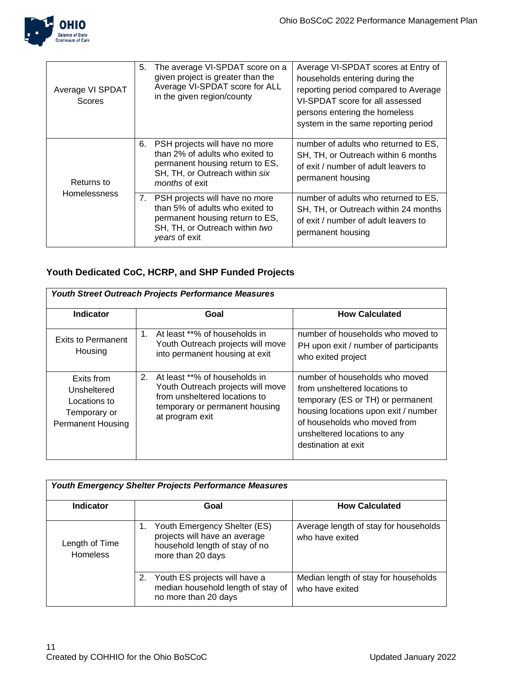

| Average VI SPDAT<br>Scores        | 5. | The average VI-SPDAT score on a<br>given project is greater than the<br>Average VI-SPDAT score for ALL<br>in the given region/county                            | Average VI-SPDAT scores at Entry of<br>households entering during the<br>reporting period compared to Average<br>VI-SPDAT score for all assessed<br>persons entering the homeless<br>system in the same reporting period |
|-----------------------------------|----|-----------------------------------------------------------------------------------------------------------------------------------------------------------------|--------------------------------------------------------------------------------------------------------------------------------------------------------------------------------------------------------------------------|
| Returns to<br><b>Homelessness</b> | 6. | PSH projects will have no more<br>than 2% of adults who exited to<br>permanent housing return to ES,<br>SH, TH, or Outreach within six<br><i>months</i> of exit | number of adults who returned to ES,<br>SH, TH, or Outreach within 6 months<br>of exit / number of adult leavers to<br>permanent housing                                                                                 |
|                                   | 7. | PSH projects will have no more<br>than 5% of adults who exited to<br>permanent housing return to ES,<br>SH, TH, or Outreach within two<br>years of exit         | number of adults who returned to ES,<br>SH, TH, or Outreach within 24 months<br>of exit / number of adult leavers to<br>permanent housing                                                                                |

### **Youth Dedicated CoC, HCRP, and SHP Funded Projects**

| <b>Youth Street Outreach Projects Performance Measures</b>                            |                                                                                                                                                                |                                                                                                                                                                                                                                     |  |
|---------------------------------------------------------------------------------------|----------------------------------------------------------------------------------------------------------------------------------------------------------------|-------------------------------------------------------------------------------------------------------------------------------------------------------------------------------------------------------------------------------------|--|
| <b>Indicator</b>                                                                      | Goal                                                                                                                                                           | <b>How Calculated</b>                                                                                                                                                                                                               |  |
| Exits to Permanent<br>Housing                                                         | $1_{-}$<br>At least **% of households in<br>Youth Outreach projects will move<br>into permanent housing at exit                                                | number of households who moved to<br>PH upon exit / number of participants<br>who exited project                                                                                                                                    |  |
| Exits from<br>Unsheltered<br>Locations to<br>Temporary or<br><b>Permanent Housing</b> | At least **% of households in<br>2.<br>Youth Outreach projects will move<br>from unsheltered locations to<br>temporary or permanent housing<br>at program exit | number of households who moved<br>from unsheltered locations to<br>temporary (ES or TH) or permanent<br>housing locations upon exit / number<br>of households who moved from<br>unsheltered locations to any<br>destination at exit |  |

| <b>Youth Emergency Shelter Projects Performance Measures</b> |                                                                                                                      |                                                          |  |
|--------------------------------------------------------------|----------------------------------------------------------------------------------------------------------------------|----------------------------------------------------------|--|
| <b>Indicator</b>                                             | Goal                                                                                                                 | <b>How Calculated</b>                                    |  |
| Length of Time<br><b>Homeless</b>                            | Youth Emergency Shelter (ES)<br>projects will have an average<br>household length of stay of no<br>more than 20 days | Average length of stay for households<br>who have exited |  |
|                                                              | Youth ES projects will have a<br>2.<br>median household length of stay of<br>no more than 20 days                    | Median length of stay for households<br>who have exited  |  |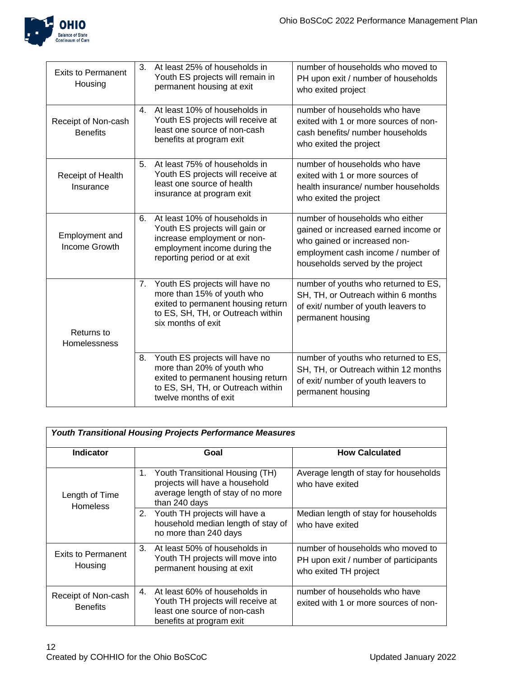

| <b>Exits to Permanent</b><br>Housing   | 3.             | At least 25% of households in<br>Youth ES projects will remain in<br>permanent housing at exit                                                                   | number of households who moved to<br>PH upon exit / number of households<br>who exited project                                                                                    |
|----------------------------------------|----------------|------------------------------------------------------------------------------------------------------------------------------------------------------------------|-----------------------------------------------------------------------------------------------------------------------------------------------------------------------------------|
| Receipt of Non-cash<br><b>Benefits</b> | $\mathbf{4}$ . | At least 10% of households in<br>Youth ES projects will receive at<br>least one source of non-cash<br>benefits at program exit                                   | number of households who have<br>exited with 1 or more sources of non-<br>cash benefits/ number households<br>who exited the project                                              |
| Receipt of Health<br>Insurance         | 5.             | At least 75% of households in<br>Youth ES projects will receive at<br>least one source of health<br>insurance at program exit                                    | number of households who have<br>exited with 1 or more sources of<br>health insurance/ number households<br>who exited the project                                                |
| Employment and<br>Income Growth        | 6.             | At least 10% of households in<br>Youth ES projects will gain or<br>increase employment or non-<br>employment income during the<br>reporting period or at exit    | number of households who either<br>gained or increased earned income or<br>who gained or increased non-<br>employment cash income / number of<br>households served by the project |
| Returns to<br>Homelessness             | 7.             | Youth ES projects will have no<br>more than 15% of youth who<br>exited to permanent housing return<br>to ES, SH, TH, or Outreach within<br>six months of exit    | number of youths who returned to ES,<br>SH, TH, or Outreach within 6 months<br>of exit/ number of youth leavers to<br>permanent housing                                           |
|                                        | 8.             | Youth ES projects will have no<br>more than 20% of youth who<br>exited to permanent housing return<br>to ES, SH, TH, or Outreach within<br>twelve months of exit | number of youths who returned to ES,<br>SH, TH, or Outreach within 12 months<br>of exit/ number of youth leavers to<br>permanent housing                                          |

| <b>Youth Transitional Housing Projects Performance Measures</b> |                                                                                                                                      |                                                                                                     |  |  |
|-----------------------------------------------------------------|--------------------------------------------------------------------------------------------------------------------------------------|-----------------------------------------------------------------------------------------------------|--|--|
| Indicator                                                       | Goal                                                                                                                                 | <b>How Calculated</b>                                                                               |  |  |
| Length of Time<br><b>Homeless</b>                               | Youth Transitional Housing (TH)<br>1.<br>projects will have a household<br>average length of stay of no more<br>than 240 days        | Average length of stay for households<br>who have exited                                            |  |  |
|                                                                 | Youth TH projects will have a<br>2.<br>household median length of stay of<br>no more than 240 days                                   | Median length of stay for households<br>who have exited                                             |  |  |
| <b>Exits to Permanent</b><br>Housing                            | 3.<br>At least 50% of households in<br>Youth TH projects will move into<br>permanent housing at exit                                 | number of households who moved to<br>PH upon exit / number of participants<br>who exited TH project |  |  |
| Receipt of Non-cash<br><b>Benefits</b>                          | At least 60% of households in<br>4.<br>Youth TH projects will receive at<br>least one source of non-cash<br>benefits at program exit | number of households who have<br>exited with 1 or more sources of non-                              |  |  |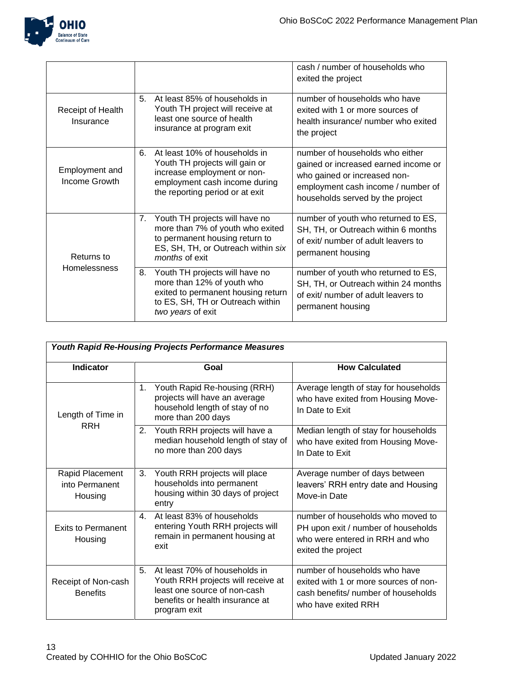

|                                   |    |                                                                                                                                                                    | cash / number of households who<br>exited the project                                                                                                                             |
|-----------------------------------|----|--------------------------------------------------------------------------------------------------------------------------------------------------------------------|-----------------------------------------------------------------------------------------------------------------------------------------------------------------------------------|
| Receipt of Health<br>Insurance    | 5. | At least 85% of households in<br>Youth TH project will receive at<br>least one source of health<br>insurance at program exit                                       | number of households who have<br>exited with 1 or more sources of<br>health insurance/ number who exited<br>the project                                                           |
| Employment and<br>Income Growth   | 6. | At least 10% of households in<br>Youth TH projects will gain or<br>increase employment or non-<br>employment cash income during<br>the reporting period or at exit | number of households who either<br>gained or increased earned income or<br>who gained or increased non-<br>employment cash income / number of<br>households served by the project |
| Returns to<br><b>Homelessness</b> | 7. | Youth TH projects will have no<br>more than 7% of youth who exited<br>to permanent housing return to<br>ES, SH, TH, or Outreach within six<br>months of exit       | number of youth who returned to ES,<br>SH, TH, or Outreach within 6 months<br>of exit/ number of adult leavers to<br>permanent housing                                            |
|                                   | 8. | Youth TH projects will have no<br>more than 12% of youth who<br>exited to permanent housing return<br>to ES, SH, TH or Outreach within<br>two years of exit        | number of youth who returned to ES,<br>SH, TH, or Outreach within 24 months<br>of exit/ number of adult leavers to<br>permanent housing                                           |

| <b>Youth Rapid Re-Housing Projects Performance Measures</b> |                |                                                                                                                                                        |                                                                                                                                      |
|-------------------------------------------------------------|----------------|--------------------------------------------------------------------------------------------------------------------------------------------------------|--------------------------------------------------------------------------------------------------------------------------------------|
| <b>Indicator</b>                                            |                | Goal                                                                                                                                                   | <b>How Calculated</b>                                                                                                                |
| Length of Time in<br><b>RRH</b>                             | 1 <sub>1</sub> | Youth Rapid Re-housing (RRH)<br>projects will have an average<br>household length of stay of no<br>more than 200 days                                  | Average length of stay for households<br>who have exited from Housing Move-<br>In Date to Exit                                       |
|                                                             | 2.             | Youth RRH projects will have a<br>median household length of stay of<br>no more than 200 days                                                          | Median length of stay for households<br>who have exited from Housing Move-<br>In Date to Exit                                        |
| Rapid Placement<br>into Permanent<br>Housing                | 3.             | Youth RRH projects will place<br>households into permanent<br>housing within 30 days of project<br>entry                                               | Average number of days between<br>leavers' RRH entry date and Housing<br>Move-in Date                                                |
| <b>Exits to Permanent</b><br>Housing                        | $\mathbf{4}$ . | At least 83% of households<br>entering Youth RRH projects will<br>remain in permanent housing at<br>exit                                               | number of households who moved to<br>PH upon exit / number of households<br>who were entered in RRH and who<br>exited the project    |
| Receipt of Non-cash<br><b>Benefits</b>                      | 5.             | At least 70% of households in<br>Youth RRH projects will receive at<br>least one source of non-cash<br>benefits or health insurance at<br>program exit | number of households who have<br>exited with 1 or more sources of non-<br>cash benefits/ number of households<br>who have exited RRH |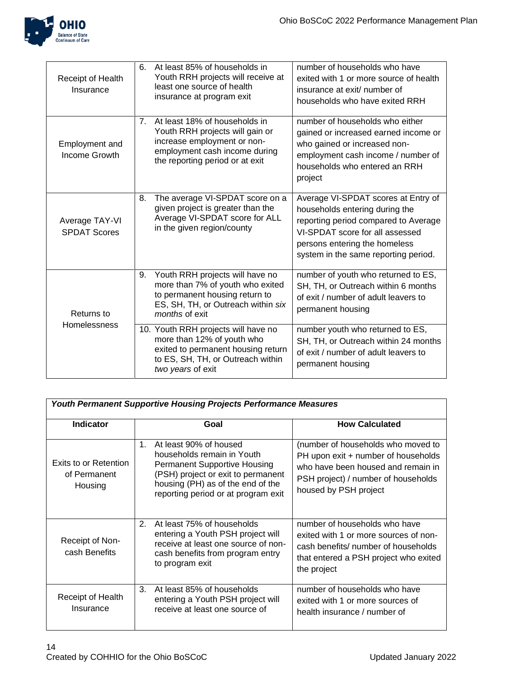

| Receipt of Health<br>Insurance        | 6.                             | At least 85% of households in<br>Youth RRH projects will receive at<br>least one source of health<br>insurance at program exit                                       | number of households who have<br>exited with 1 or more source of health<br>insurance at exit/ number of<br>households who have exited RRH                                                                                 |
|---------------------------------------|--------------------------------|----------------------------------------------------------------------------------------------------------------------------------------------------------------------|---------------------------------------------------------------------------------------------------------------------------------------------------------------------------------------------------------------------------|
| Employment and<br>Income Growth       | $7_{\scriptscriptstyle{\sim}}$ | At least 18% of households in<br>Youth RRH projects will gain or<br>increase employment or non-<br>employment cash income during<br>the reporting period or at exit  | number of households who either<br>gained or increased earned income or<br>who gained or increased non-<br>employment cash income / number of<br>households who entered an RRH<br>project                                 |
| Average TAY-VI<br><b>SPDAT Scores</b> | 8.                             | The average VI-SPDAT score on a<br>given project is greater than the<br>Average VI-SPDAT score for ALL<br>in the given region/county                                 | Average VI-SPDAT scores at Entry of<br>households entering during the<br>reporting period compared to Average<br>VI-SPDAT score for all assessed<br>persons entering the homeless<br>system in the same reporting period. |
| Returns to<br><b>Homelessness</b>     | 9.                             | Youth RRH projects will have no<br>more than 7% of youth who exited<br>to permanent housing return to<br>ES, SH, TH, or Outreach within six<br><i>months</i> of exit | number of youth who returned to ES,<br>SH, TH, or Outreach within 6 months<br>of exit / number of adult leavers to<br>permanent housing                                                                                   |
|                                       |                                | 10. Youth RRH projects will have no<br>more than 12% of youth who<br>exited to permanent housing return<br>to ES, SH, TH, or Outreach within<br>two years of exit    | number youth who returned to ES,<br>SH, TH, or Outreach within 24 months<br>of exit / number of adult leavers to<br>permanent housing                                                                                     |

| <b>Youth Permanent Supportive Housing Projects Performance Measures</b> |                                                                                                                                                                                                                     |                                                                                                                                                                                 |  |
|-------------------------------------------------------------------------|---------------------------------------------------------------------------------------------------------------------------------------------------------------------------------------------------------------------|---------------------------------------------------------------------------------------------------------------------------------------------------------------------------------|--|
| <b>Indicator</b>                                                        | Goal                                                                                                                                                                                                                | <b>How Calculated</b>                                                                                                                                                           |  |
| Exits to or Retention<br>of Permanent<br>Housing                        | At least 90% of housed<br>1.<br>households remain in Youth<br><b>Permanent Supportive Housing</b><br>(PSH) project or exit to permanent<br>housing (PH) as of the end of the<br>reporting period or at program exit | (number of households who moved to<br>PH upon exit + number of households<br>who have been housed and remain in<br>PSH project) / number of households<br>housed by PSH project |  |
| Receipt of Non-<br>cash Benefits                                        | 2.<br>At least 75% of households<br>entering a Youth PSH project will<br>receive at least one source of non-<br>cash benefits from program entry<br>to program exit                                                 | number of households who have<br>exited with 1 or more sources of non-<br>cash benefits/ number of households<br>that entered a PSH project who exited<br>the project           |  |
| Receipt of Health<br>Insurance                                          | 3.<br>At least 85% of households<br>entering a Youth PSH project will<br>receive at least one source of                                                                                                             | number of households who have<br>exited with 1 or more sources of<br>health insurance / number of                                                                               |  |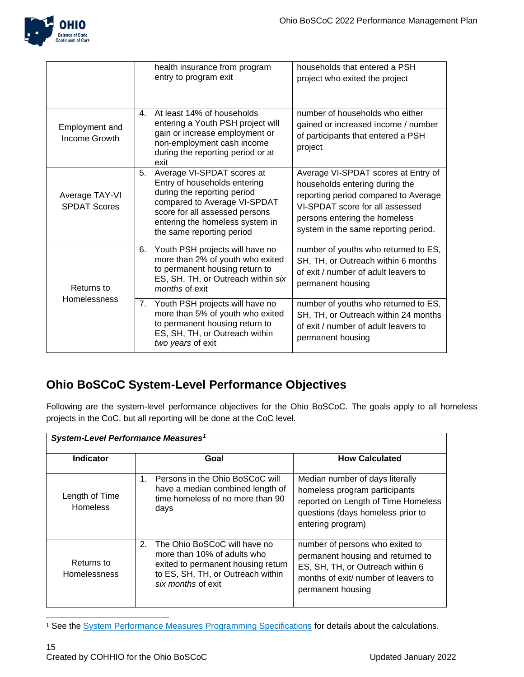

|                                       | health insurance from program<br>entry to program exit                                                                                                                                                                            | households that entered a PSH<br>project who exited the project                                                                                                                                                           |
|---------------------------------------|-----------------------------------------------------------------------------------------------------------------------------------------------------------------------------------------------------------------------------------|---------------------------------------------------------------------------------------------------------------------------------------------------------------------------------------------------------------------------|
| Employment and<br>Income Growth       | At least 14% of households<br>4.<br>entering a Youth PSH project will<br>gain or increase employment or<br>non-employment cash income<br>during the reporting period or at<br>exit                                                | number of households who either<br>gained or increased income / number<br>of participants that entered a PSH<br>project                                                                                                   |
| Average TAY-VI<br><b>SPDAT Scores</b> | Average VI-SPDAT scores at<br>5.<br>Entry of households entering<br>during the reporting period<br>compared to Average VI-SPDAT<br>score for all assessed persons<br>entering the homeless system in<br>the same reporting period | Average VI-SPDAT scores at Entry of<br>households entering during the<br>reporting period compared to Average<br>VI-SPDAT score for all assessed<br>persons entering the homeless<br>system in the same reporting period. |
| Returns to<br><b>Homelessness</b>     | Youth PSH projects will have no<br>6.<br>more than 2% of youth who exited<br>to permanent housing return to<br>ES, SH, TH, or Outreach within six<br>months of exit                                                               | number of youths who returned to ES,<br>SH, TH, or Outreach within 6 months<br>of exit / number of adult leavers to<br>permanent housing                                                                                  |
|                                       | Youth PSH projects will have no<br>7.<br>more than 5% of youth who exited<br>to permanent housing return to<br>ES, SH, TH, or Outreach within<br>two years of exit                                                                | number of youths who returned to ES,<br>SH, TH, or Outreach within 24 months<br>of exit / number of adult leavers to<br>permanent housing                                                                                 |

### **Ohio BoSCoC System-Level Performance Objectives**

Following are the system-level performance objectives for the Ohio BoSCoC. The goals apply to all homeless projects in the CoC, but all reporting will be done at the CoC level.

| System-Level Performance Measures <sup>1</sup> |                                                                                                                                                                    |                                                                                                                                                                       |  |
|------------------------------------------------|--------------------------------------------------------------------------------------------------------------------------------------------------------------------|-----------------------------------------------------------------------------------------------------------------------------------------------------------------------|--|
| <b>Indicator</b>                               | Goal                                                                                                                                                               | <b>How Calculated</b>                                                                                                                                                 |  |
| Length of Time<br><b>Homeless</b>              | Persons in the Ohio BoSCoC will<br>1.<br>have a median combined length of<br>time homeless of no more than 90<br>days                                              | Median number of days literally<br>homeless program participants<br>reported on Length of Time Homeless<br>questions (days homeless prior to<br>entering program)     |  |
| Returns to<br><b>Homelessness</b>              | 2.<br>The Ohio BoSCoC will have no<br>more than 10% of adults who<br>exited to permanent housing return<br>to ES, SH, TH, or Outreach within<br>six months of exit | number of persons who exited to<br>permanent housing and returned to<br>ES, SH, TH, or Outreach within 6<br>months of exit/ number of leavers to<br>permanent housing |  |

<sup>&</sup>lt;sup>1</sup> See the **System Performance Measures Programming Specifications** for details about the calculations.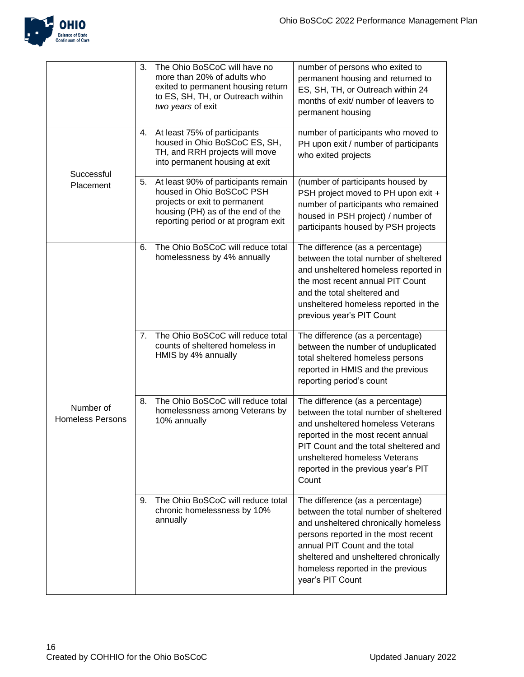

|                                      | 3.             | The Ohio BoSCoC will have no<br>more than 20% of adults who<br>exited to permanent housing return<br>to ES, SH, TH, or Outreach within<br>two years of exit                   | number of persons who exited to<br>permanent housing and returned to<br>ES, SH, TH, or Outreach within 24<br>months of exit/ number of leavers to<br>permanent housing                                                                                                                       |
|--------------------------------------|----------------|-------------------------------------------------------------------------------------------------------------------------------------------------------------------------------|----------------------------------------------------------------------------------------------------------------------------------------------------------------------------------------------------------------------------------------------------------------------------------------------|
| Successful<br>Placement              | 4.             | At least 75% of participants<br>housed in Ohio BoSCoC ES, SH,<br>TH, and RRH projects will move<br>into permanent housing at exit                                             | number of participants who moved to<br>PH upon exit / number of participants<br>who exited projects                                                                                                                                                                                          |
|                                      | 5.             | At least 90% of participants remain<br>housed in Ohio BoSCoC PSH<br>projects or exit to permanent<br>housing (PH) as of the end of the<br>reporting period or at program exit | (number of participants housed by<br>PSH project moved to PH upon exit +<br>number of participants who remained<br>housed in PSH project) / number of<br>participants housed by PSH projects                                                                                                 |
| Number of<br><b>Homeless Persons</b> | 6.             | The Ohio BoSCoC will reduce total<br>homelessness by 4% annually                                                                                                              | The difference (as a percentage)<br>between the total number of sheltered<br>and unsheltered homeless reported in<br>the most recent annual PIT Count<br>and the total sheltered and<br>unsheltered homeless reported in the<br>previous year's PIT Count                                    |
|                                      | 7 <sub>1</sub> | The Ohio BoSCoC will reduce total<br>counts of sheltered homeless in<br>HMIS by 4% annually                                                                                   | The difference (as a percentage)<br>between the number of unduplicated<br>total sheltered homeless persons<br>reported in HMIS and the previous<br>reporting period's count                                                                                                                  |
|                                      | 8.             | The Ohio BoSCoC will reduce total<br>homelessness among Veterans by<br>10% annually                                                                                           | The difference (as a percentage)<br>between the total number of sheltered<br>and unsheltered homeless Veterans<br>reported in the most recent annual<br>PIT Count and the total sheltered and<br>unsheltered homeless Veterans<br>reported in the previous year's PIT<br>Count               |
|                                      | 9.             | The Ohio BoSCoC will reduce total<br>chronic homelessness by 10%<br>annually                                                                                                  | The difference (as a percentage)<br>between the total number of sheltered<br>and unsheltered chronically homeless<br>persons reported in the most recent<br>annual PIT Count and the total<br>sheltered and unsheltered chronically<br>homeless reported in the previous<br>year's PIT Count |